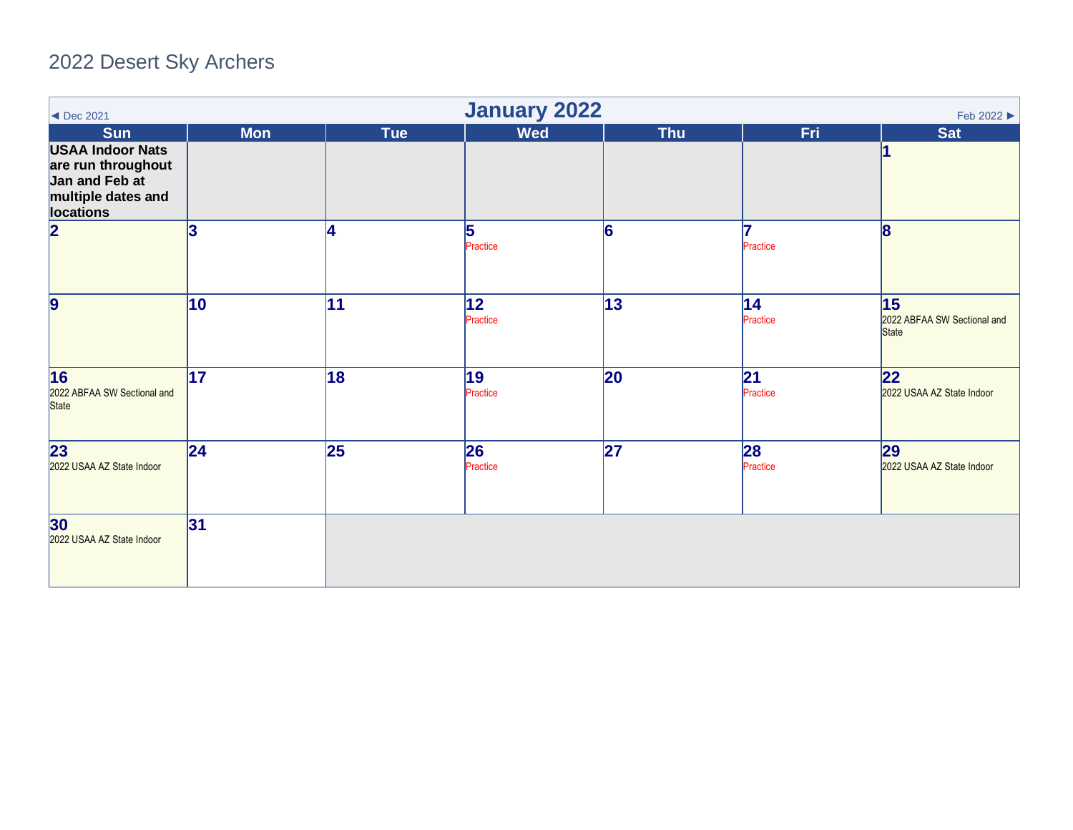## 2022 Desert Sky Archers

<span id="page-0-0"></span>

| $\blacktriangleleft$ Dec 2021                                                                      | <b>January 2022</b><br>Feb 2022 ▶ |     |                 |              |                 |                                                   |  |  |  |
|----------------------------------------------------------------------------------------------------|-----------------------------------|-----|-----------------|--------------|-----------------|---------------------------------------------------|--|--|--|
| <b>Sun</b>                                                                                         | <b>Mon</b>                        | Tue | <b>Wed</b>      | <b>Thu</b>   | <b>Fri</b>      | <b>Sat</b>                                        |  |  |  |
| <b>USAA Indoor Nats</b><br>are run throughout<br>Jan and Feb at<br>multiple dates and<br>locations |                                   |     |                 |              |                 |                                                   |  |  |  |
| $\overline{\mathbf{2}}$                                                                            | 3                                 | 4   | 5<br>Practice   | 6            | Practice        | $\overline{\mathbf{8}}$                           |  |  |  |
| $\overline{9}$                                                                                     | 10                                | 11  | 12 <br>Practice | $ 13\rangle$ | 14 <br>Practice | 15<br>2022 ABFAA SW Sectional and<br><b>State</b> |  |  |  |
| 16<br>2022 ABFAA SW Sectional and<br><b>State</b>                                                  | 17                                | 18  | 19<br>Practice  | <b>20</b>    | 21<br>Practice  | 22<br>2022 USAA AZ State Indoor                   |  |  |  |
| 23<br>2022 USAA AZ State Indoor                                                                    | 24                                | 25  | 26<br>Practice  | 27           | 28<br>Practice  | 29<br>2022 USAA AZ State Indoor                   |  |  |  |
| 30<br>2022 USAA AZ State Indoor                                                                    | 31                                |     |                 |              |                 |                                                   |  |  |  |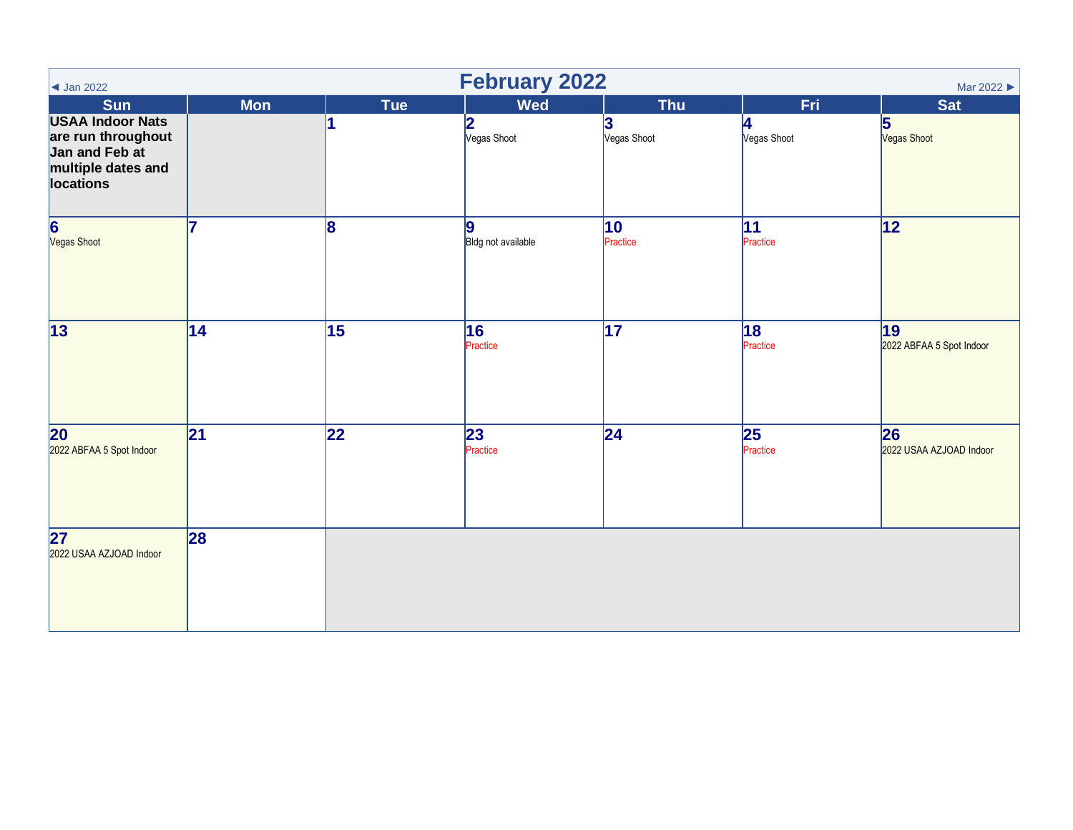<span id="page-1-0"></span>

| $\triangleleft$ Jan 2022                                                                           | <b>February 2022</b><br>Mar 2022 |                 |                         |                          |                  |                                |  |  |  |
|----------------------------------------------------------------------------------------------------|----------------------------------|-----------------|-------------------------|--------------------------|------------------|--------------------------------|--|--|--|
| <b>Sun</b>                                                                                         | <b>Mon</b>                       | <b>Tue</b>      | <b>Wed</b>              | <b>Thu</b>               | <b>Fri</b>       | Sat                            |  |  |  |
| <b>USAA Indoor Nats</b><br>are run throughout<br>Jan and Feb at<br>multiple dates and<br>locations |                                  |                 | 2<br>Vegas Shoot        | 3<br>Vegas Shoot         | 4<br>Vegas Shoot | 5<br>Vegas Shoot               |  |  |  |
| $\overline{\mathbf{6}}$<br>Vegas Shoot                                                             | 17                               | 8               | 9<br>Bldg not available | $ 10\rangle$<br>Practice | 11<br>Practice   | 12                             |  |  |  |
| $\overline{13}$                                                                                    | $\overline{14}$                  | $\overline{15}$ | 16<br>Practice          | $\overline{17}$          | 18<br>Practice   | 19<br>2022 ABFAA 5 Spot Indoor |  |  |  |
| 20<br>2022 ABFAA 5 Spot Indoor                                                                     | 21                               | 22              | 23<br>Practice          | 24                       | 25<br>Practice   | 26<br>2022 USAA AZJOAD Indoor  |  |  |  |
| 27<br>2022 USAA AZJOAD Indoor                                                                      | 28                               |                 |                         |                          |                  |                                |  |  |  |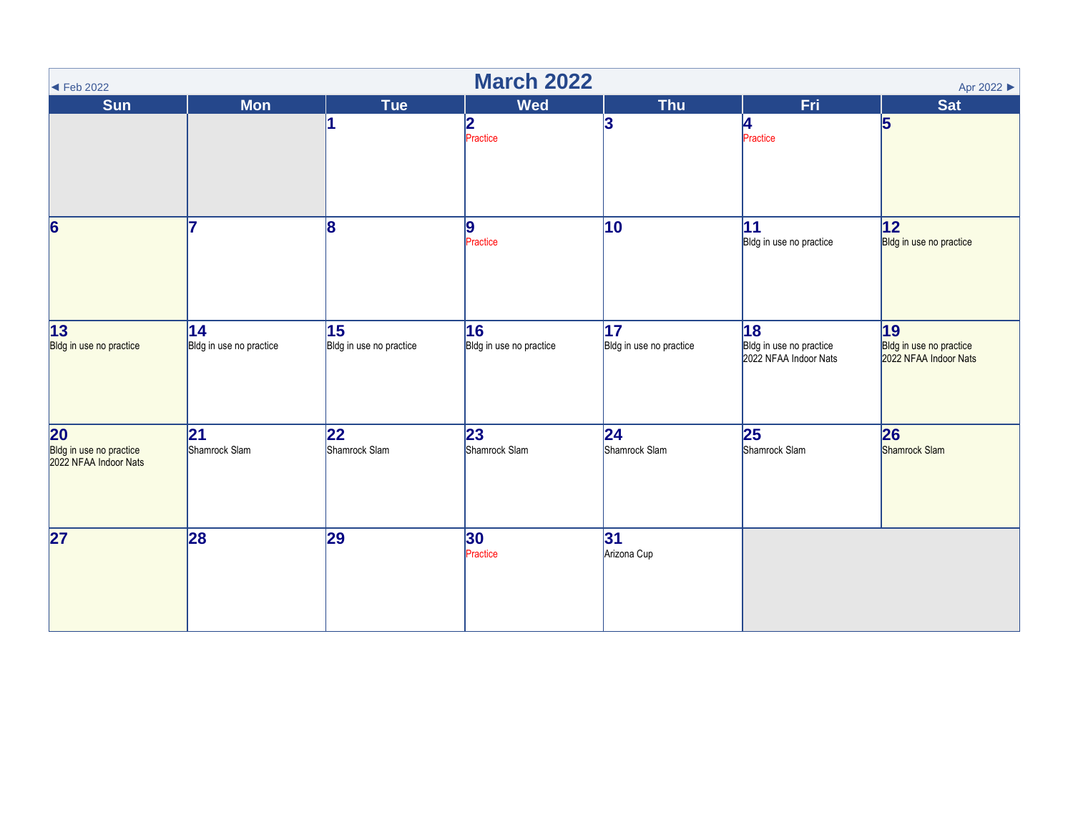<span id="page-2-0"></span>

| <b>March 2022</b><br>Apr 2022<br>$\blacktriangleleft$ Feb 2022 |                                |                               |                               |                               |                                                        |                                                        |  |  |
|----------------------------------------------------------------|--------------------------------|-------------------------------|-------------------------------|-------------------------------|--------------------------------------------------------|--------------------------------------------------------|--|--|
| <b>Sun</b>                                                     | <b>Mon</b>                     | <b>Tue</b>                    | <b>Wed</b>                    | <b>Thu</b>                    | <b>Fri</b>                                             | <b>Sat</b>                                             |  |  |
|                                                                |                                |                               | 2<br>Practice                 | 3                             | 4<br>Practice                                          | $\overline{5}$                                         |  |  |
| $\overline{6}$                                                 | 7                              | 8                             | 9<br>Practice                 | 10                            | 11 <br>Bldg in use no practice                         | 12 <br>Bldg in use no practice                         |  |  |
| 13 <br>Bldg in use no practice                                 | 14 <br>Bldg in use no practice | 15<br>Bldg in use no practice | 16<br>Bldg in use no practice | 17<br>Bldg in use no practice | 18<br>Bldg in use no practice<br>2022 NFAA Indoor Nats | 19<br>Bldg in use no practice<br>2022 NFAA Indoor Nats |  |  |
| 20<br>Bldg in use no practice<br>2022 NFAA Indoor Nats         | 21<br>Shamrock Slam            | 22<br>Shamrock Slam           | 23<br>Shamrock Slam           | 24 <br>Shamrock Slam          | 25<br>Shamrock Slam                                    | 26<br>Shamrock Slam                                    |  |  |
| 27                                                             | 28                             | 29                            | 30<br>Practice                | 31<br>Arizona Cup             |                                                        |                                                        |  |  |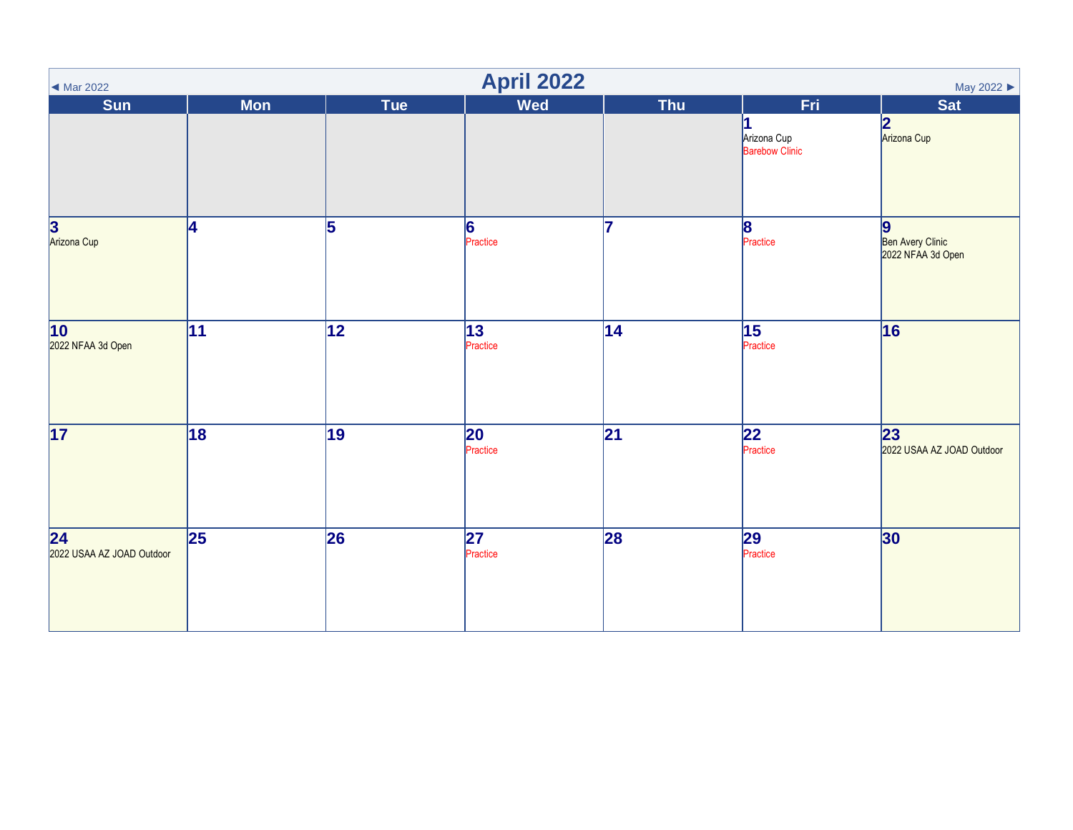<span id="page-3-0"></span>

| $\blacktriangleleft$ Mar 2022                | <b>April 2022</b><br>May 2022 |            |                |                 |                               |                                                           |  |  |  |
|----------------------------------------------|-------------------------------|------------|----------------|-----------------|-------------------------------|-----------------------------------------------------------|--|--|--|
| <b>Sun</b>                                   | <b>Mon</b>                    | <b>Tue</b> | <b>Wed</b>     | <b>Thu</b>      | Fri                           | <b>Sat</b>                                                |  |  |  |
|                                              |                               |            |                |                 | Arizona Cup<br>Barebow Clinic | 2<br>Arizona Cup                                          |  |  |  |
| 3<br>Arizona Cup                             | 14                            | 5          | 6<br>Practice  | 7               | $\vert$ 8<br>Practice         | $\boldsymbol{9}$<br>Ben Avery Clinic<br>2022 NFAA 3d Open |  |  |  |
| $\overline{10}$<br>2022 NFAA 3d Open         | 11                            | 12         | 13<br>Practice | 14              | 15<br>Practice                | 16                                                        |  |  |  |
| $\overline{17}$                              | 18                            | 19         | 20<br>Practice | $\overline{21}$ | 22 <br>Practice               | 23<br>2022 USAA AZ JOAD Outdoor                           |  |  |  |
| $\overline{24}$<br>2022 USAA AZ JOAD Outdoor | 25                            | 26         | 27<br>Practice | 28              | 29<br>Practice                | 30                                                        |  |  |  |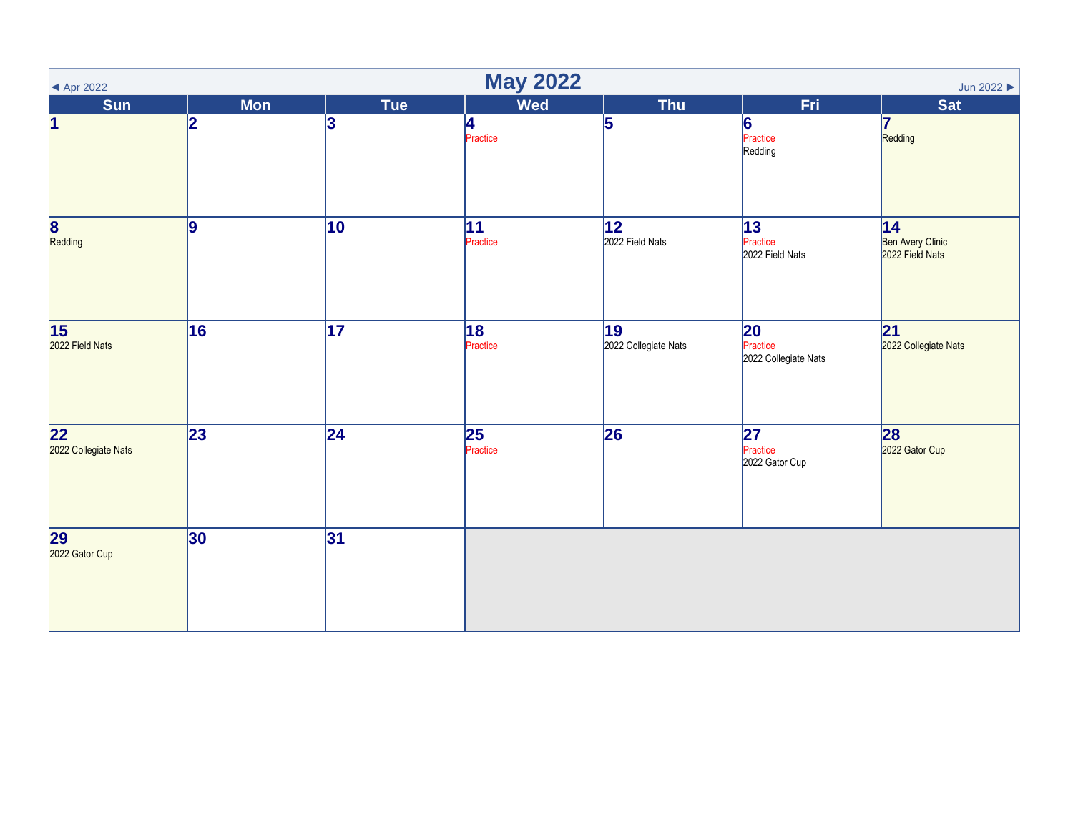<span id="page-4-0"></span>

| <b>May 2022</b><br>Jun 2022<br>$\blacktriangleleft$ Apr 2022 |                 |                 |                             |                            |                                        |                                            |  |  |
|--------------------------------------------------------------|-----------------|-----------------|-----------------------------|----------------------------|----------------------------------------|--------------------------------------------|--|--|
| <b>Sun</b>                                                   | <b>Mon</b>      | Tue             | <b>Wed</b>                  | <b>Thu</b>                 | Fri                                    | <b>Sat</b>                                 |  |  |
| $\vert$ 1                                                    | 2               | 3               | 4<br>Practice               | 5                          | $\vert 6 \vert$<br>Practice<br>Redding | 17<br>Redding                              |  |  |
| 8<br>Redding                                                 | 9               | 10              | 11 <br>Practice             | 12 <br>2022 Field Nats     | 13<br>Practice<br>2022 Field Nats      | 14 <br>Ben Avery Clinic<br>2022 Field Nats |  |  |
| $\overline{15}$<br>2022 Field Nats                           | 16              | $\overline{17}$ | 18 <br>Practice             | 19<br>2022 Collegiate Nats | 20<br>Practice<br>2022 Collegiate Nats | 21 <br>2022 Collegiate Nats                |  |  |
| 22<br>2022 Collegiate Nats                                   | $\overline{23}$ | $\overline{24}$ | $\overline{25}$<br>Practice | 26                         | 27<br>Practice<br>2022 Gator Cup       | 28<br>2022 Gator Cup                       |  |  |
| 29<br>2022 Gator Cup                                         | 30              | 31              |                             |                            |                                        |                                            |  |  |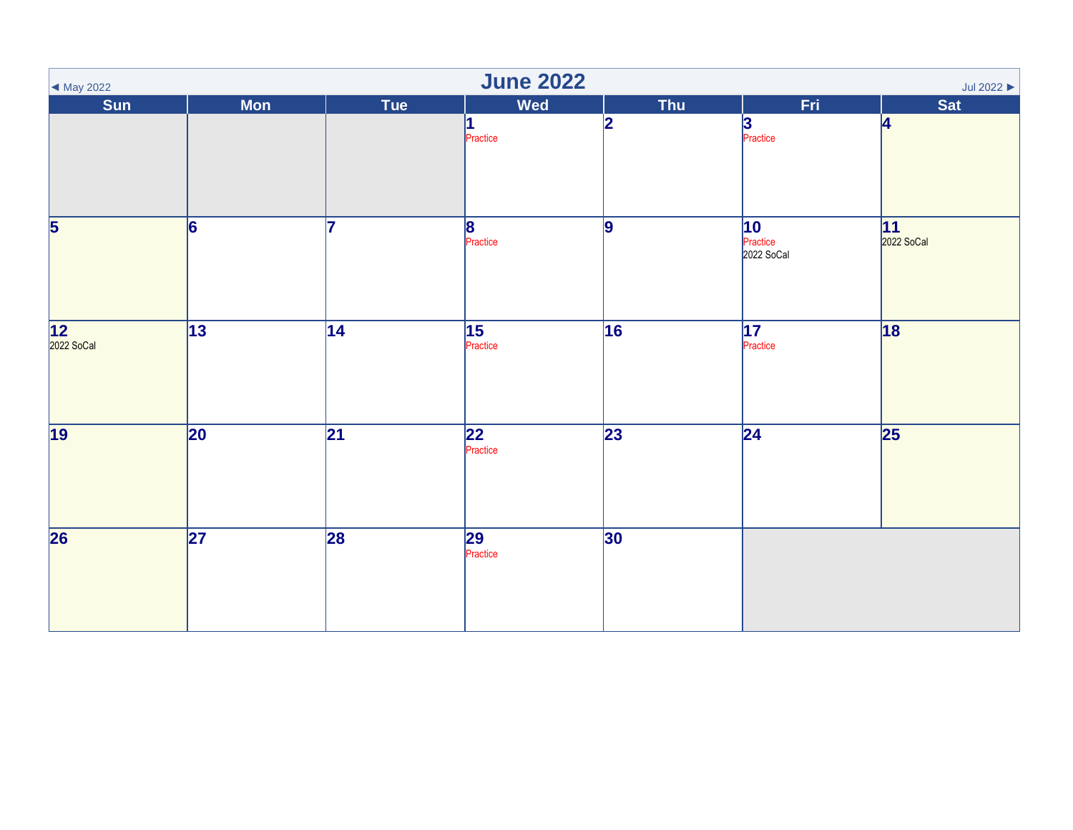<span id="page-5-0"></span>

| $\blacktriangleleft$ May 2022 | <b>June 2022</b><br>Jul 2022 $\blacktriangleright$ |                 |                                     |              |                              |                          |  |  |  |  |
|-------------------------------|----------------------------------------------------|-----------------|-------------------------------------|--------------|------------------------------|--------------------------|--|--|--|--|
| Sun                           | <b>Mon</b>                                         | Tue             | <b>Wed</b>                          | Thu          | Fri                          | Sat                      |  |  |  |  |
|                               |                                                    |                 | 1<br>Practice                       | 2            | 3<br>Practice                | 4                        |  |  |  |  |
| $\overline{\mathbf{5}}$       | 6                                                  | 17              | $\overline{\mathbf{8}}$<br>Practice | 9            | 10<br>Practice<br>2022 SoCal | <b>11</b><br>2022 SoCal  |  |  |  |  |
| 12<br>2022 SoCal              | $\overline{13}$                                    | 14              | 15<br>Practice                      | 16           | $\overline{17}$<br>Practice  | 18                       |  |  |  |  |
| $\overline{19}$               | $ 20\rangle$                                       | $\overline{21}$ | $\overline{22}$<br>Practice         | $\sqrt{23}$  | $\overline{24}$              | $\overline{\mathbf{25}}$ |  |  |  |  |
| $\overline{26}$               | $\overline{27}$                                    | 28              | 29<br>Practice                      | $ 30\rangle$ |                              |                          |  |  |  |  |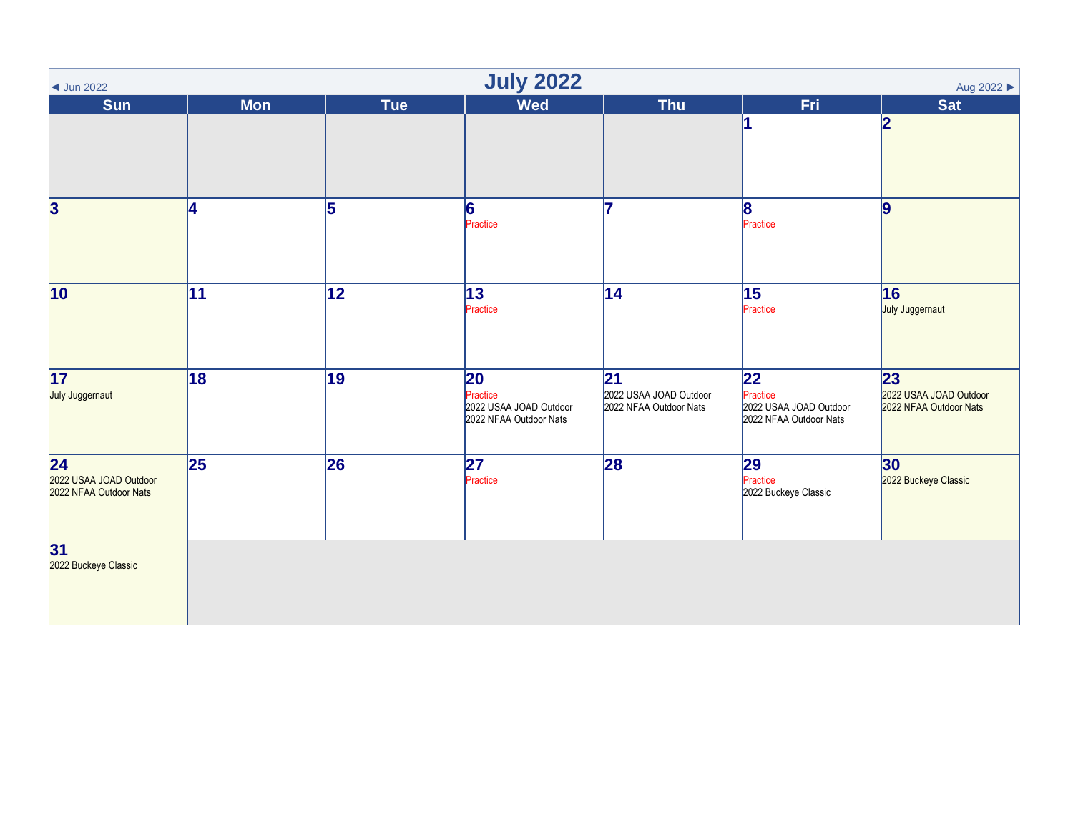<span id="page-6-0"></span>

| $\triangleleft$ Jun 2022                                            | <b>July 2022</b><br>Aug 2022 ▶ |                 |                                                                    |                                                         |                                                                    |                                                         |  |  |  |
|---------------------------------------------------------------------|--------------------------------|-----------------|--------------------------------------------------------------------|---------------------------------------------------------|--------------------------------------------------------------------|---------------------------------------------------------|--|--|--|
| <b>Sun</b>                                                          | <b>Mon</b>                     | Tue             | <b>Wed</b>                                                         | <b>Thu</b>                                              | Fri                                                                | <b>Sat</b>                                              |  |  |  |
|                                                                     |                                |                 |                                                                    |                                                         |                                                                    | 2                                                       |  |  |  |
| $\overline{\mathbf{3}}$                                             | 4                              | 5               | 6<br>Practice                                                      | 7                                                       | 8 <br>Practice                                                     | $\vert$ 9                                               |  |  |  |
| $ 10\rangle$                                                        | 11                             | 12              | 13 <br>Practice                                                    | 14                                                      | 15<br>Practice                                                     | 16<br>July Juggernaut                                   |  |  |  |
| 17<br>July Juggernaut                                               | 18                             | $\overline{19}$ | 20<br>Practice<br>2022 USAA JOAD Outdoor<br>2022 NFAA Outdoor Nats | 21 <br>2022 USAA JOAD Outdoor<br>2022 NFAA Outdoor Nats | 22<br>Practice<br>2022 USAA JOAD Outdoor<br>2022 NFAA Outdoor Nats | 23 <br>2022 USAA JOAD Outdoor<br>2022 NFAA Outdoor Nats |  |  |  |
| $\overline{24}$<br>2022 USAA JOAD Outdoor<br>2022 NFAA Outdoor Nats | 25                             | 26              | 27<br>Practice                                                     | 28                                                      | 29<br>Practice<br>2022 Buckeye Classic                             | 30<br>2022 Buckeye Classic                              |  |  |  |
| 31<br>2022 Buckeye Classic                                          |                                |                 |                                                                    |                                                         |                                                                    |                                                         |  |  |  |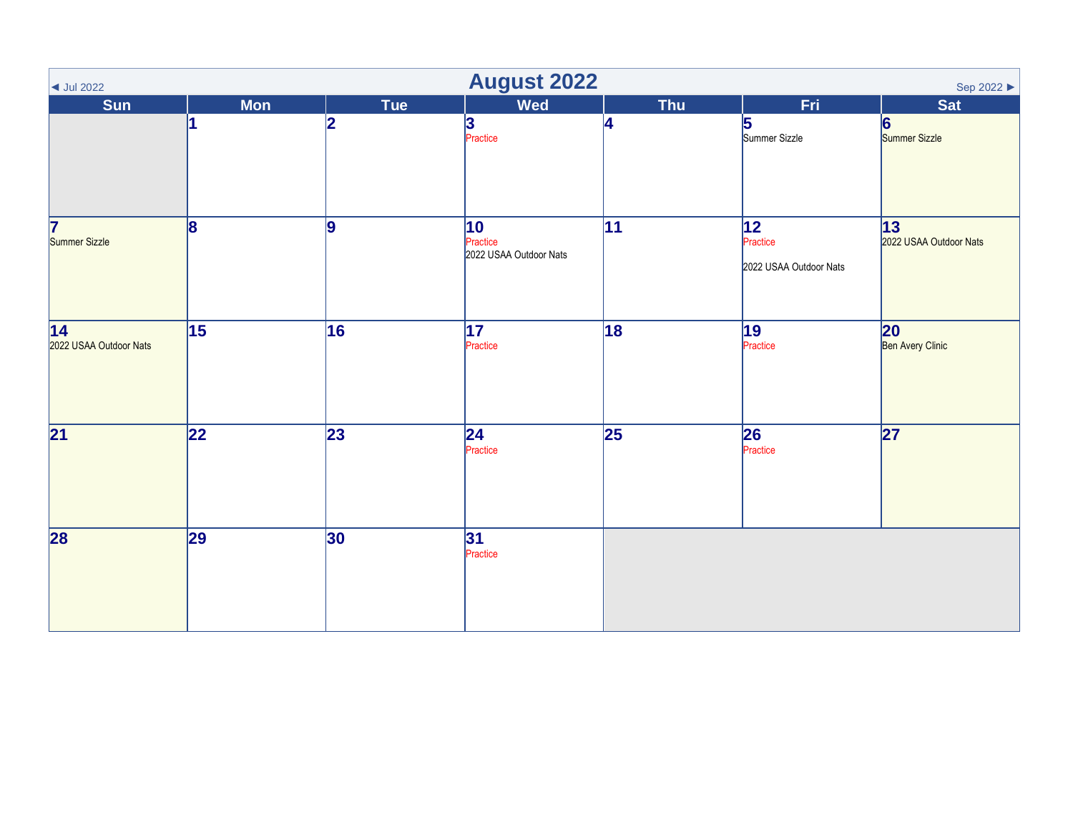<span id="page-7-0"></span>

| $\vert$ Jul 2022              | <b>August 2022</b><br>Sep 2022 ▶ |                 |                                                    |                 |                                           |                               |  |  |  |
|-------------------------------|----------------------------------|-----------------|----------------------------------------------------|-----------------|-------------------------------------------|-------------------------------|--|--|--|
| <b>Sun</b>                    | <b>Mon</b>                       | Tue             | <b>Wed</b>                                         | <b>Thu</b>      | Fri                                       | <b>Sat</b>                    |  |  |  |
|                               |                                  | 12              | 3<br>Practice                                      | 4               | 5<br>Summer Sizzle                        | 6<br>Summer Sizzle            |  |  |  |
| 7<br>Summer Sizzle            | 8                                | 9               | $ 10\rangle$<br>Practice<br>2022 USAA Outdoor Nats | 11              | 12 <br>Practice<br>2022 USAA Outdoor Nats | 13 <br>2022 USAA Outdoor Nats |  |  |  |
| 14 <br>2022 USAA Outdoor Nats | 15                               | 16              | 17 <br>Practice                                    | 18              | 19 <br>Practice                           | 20<br>Ben Avery Clinic        |  |  |  |
| $\overline{21}$               | $ 22\rangle$                     | $\overline{23}$ | 24 <br>Practice                                    | $\overline{25}$ | 26<br>Practice                            | 27                            |  |  |  |
| 28                            | 29                               | 30              | 31 <br>Practice                                    |                 |                                           |                               |  |  |  |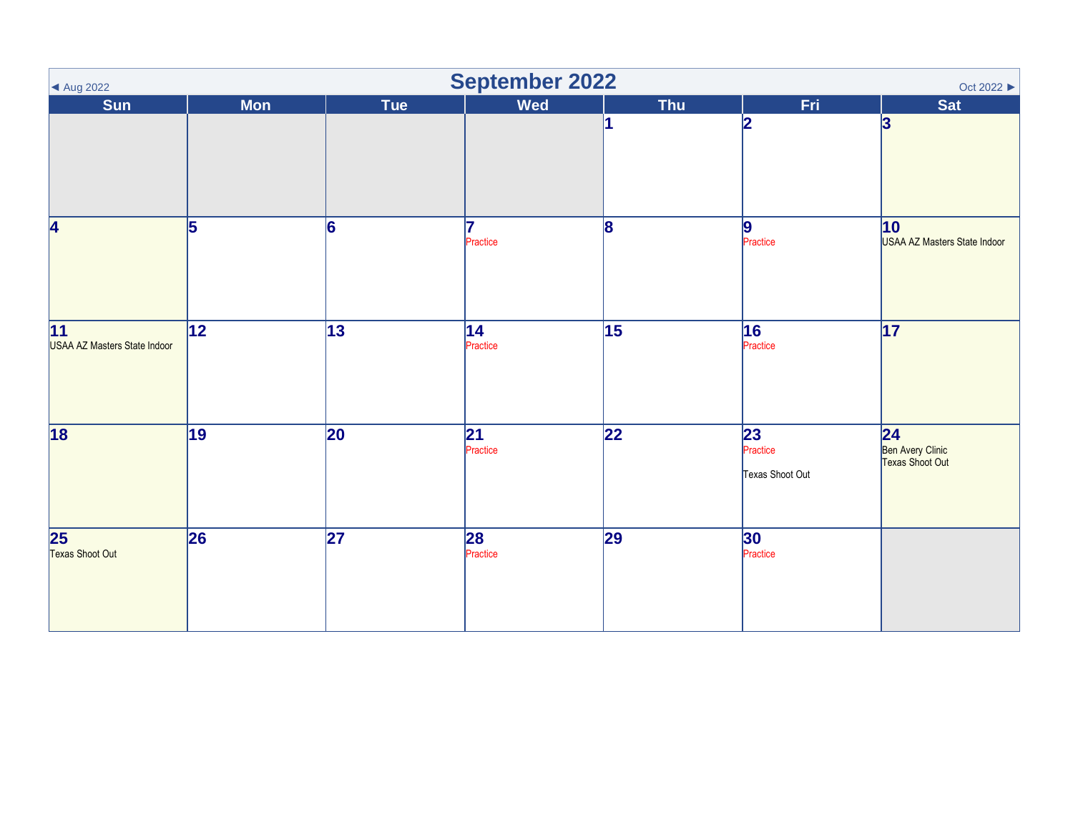<span id="page-8-0"></span>

| ▲ Aug 2022                         | <b>September 2022</b><br>Oct 2022 ▶ |     |                             |            |                                                |                                            |  |  |  |
|------------------------------------|-------------------------------------|-----|-----------------------------|------------|------------------------------------------------|--------------------------------------------|--|--|--|
| <b>Sun</b>                         | <b>Mon</b>                          | Tue | <b>Wed</b>                  | <b>Thu</b> | Fri                                            | <b>Sat</b>                                 |  |  |  |
|                                    |                                     |     |                             |            | 2                                              | 3                                          |  |  |  |
| 4                                  | 5                                   | 6   | 17<br>Practice              | 8          | 9<br>Practice                                  | 10<br>USAA AZ Masters State Indoor         |  |  |  |
| 11<br>USAA AZ Masters State Indoor | 12                                  | 13  | 14 <br>Practice             | 15         | 16<br>Practice                                 | $\overline{17}$                            |  |  |  |
| $\overline{18}$                    | 19                                  | 20  | $\overline{21}$<br>Practice | 22         | $\overline{23}$<br>Practice<br>Texas Shoot Out | 24 <br>Ben Avery Clinic<br>Texas Shoot Out |  |  |  |
| $\overline{25}$<br>Texas Shoot Out | 26                                  | 27  | 28<br>Practice              | 29         | 30<br>Practice                                 |                                            |  |  |  |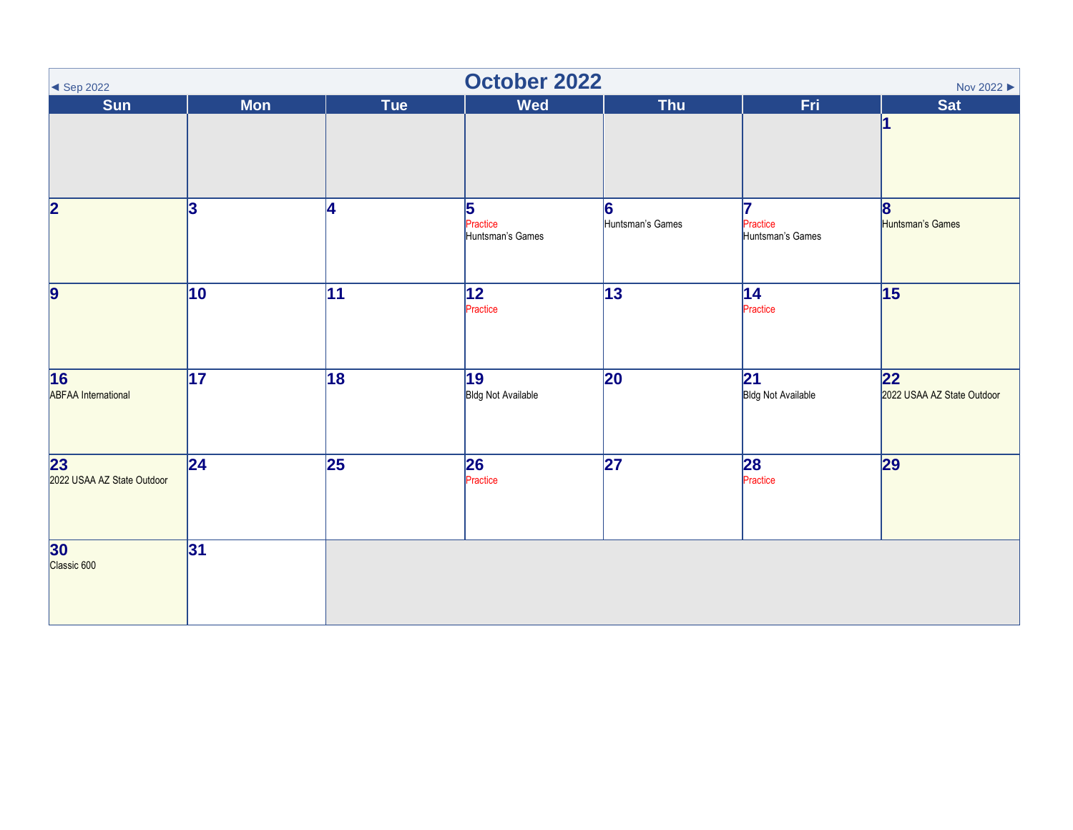<span id="page-9-0"></span>

| $\blacktriangleleft$ Sep 2022                 | <b>October 2022</b><br>Nov 2022 |                 |                                   |                       |                                              |                                     |  |  |  |
|-----------------------------------------------|---------------------------------|-----------------|-----------------------------------|-----------------------|----------------------------------------------|-------------------------------------|--|--|--|
| <b>Sun</b>                                    | <b>Mon</b>                      | Tue             | <b>Wed</b>                        | <b>Thu</b>            | Fri                                          | <b>Sat</b>                          |  |  |  |
|                                               |                                 |                 |                                   |                       |                                              |                                     |  |  |  |
| $\overline{\mathbf{2}}$                       | 3                               | <b>4</b>        | 5<br>Practice<br>Huntsman's Games | 6<br>Huntsman's Games | 17<br>Practice<br>Huntsman's Games           | $\vert 8 \vert$<br>Huntsman's Games |  |  |  |
| $\vert$ 9                                     | 10                              | 11              | 12 <br>Practice                   | 13                    | 14<br>Practice                               | 15                                  |  |  |  |
| $\overline{16}$<br><b>ABFAA</b> International | $\overline{17}$                 | $\overline{18}$ | 19<br><b>Bldg Not Available</b>   | 20                    | $\overline{21}$<br><b>Bldg Not Available</b> | 22 <br>2022 USAA AZ State Outdoor   |  |  |  |
| $\overline{23}$<br>2022 USAA AZ State Outdoor | 24                              | 25              | 26<br>Practice                    | $\overline{27}$       | 28<br>Practice                               | 29                                  |  |  |  |
| <b>30</b><br>Classic 600                      | 31                              |                 |                                   |                       |                                              |                                     |  |  |  |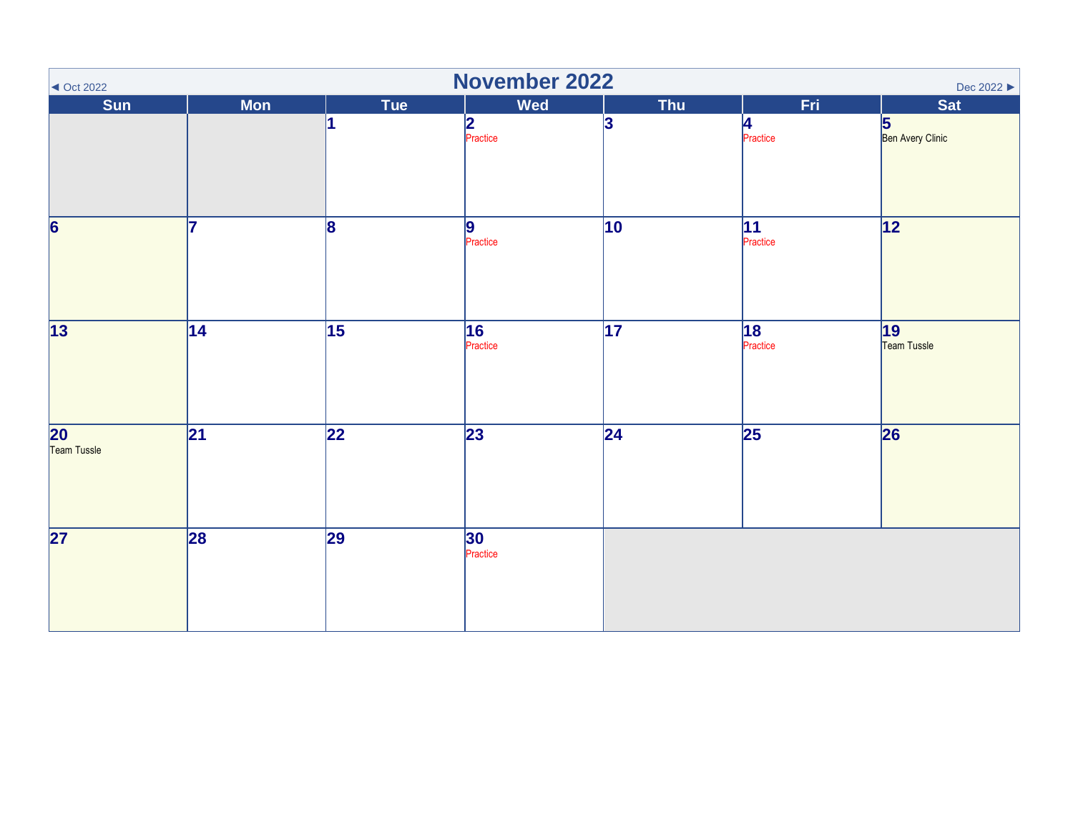<span id="page-10-0"></span>

| November 2022<br>Dec 2022 $\blacktriangleright$<br>$\triangleleft$ Oct 2022 |                 |                 |                 |                 |                 |                       |  |  |  |
|-----------------------------------------------------------------------------|-----------------|-----------------|-----------------|-----------------|-----------------|-----------------------|--|--|--|
| Sun                                                                         | <b>Mon</b>      | Tue             | <b>Wed</b>      | <b>Thu</b>      | Fri             | <b>Sat</b>            |  |  |  |
|                                                                             |                 |                 | 2<br>Practice   | 3               | 4<br>Practice   | 5<br>Ben Avery Clinic |  |  |  |
| $\overline{6}$                                                              | 7               | 8               | 9<br>Practice   | $ 10\rangle$    | 11<br>Practice  | $\overline{12}$       |  |  |  |
| $\overline{13}$                                                             | $\overline{14}$ | $\overline{15}$ | 16<br>Practice  | $\overline{17}$ | 18 <br>Practice | 19<br>Team Tussle     |  |  |  |
| $\overline{20}$<br>Team Tussle                                              | 21              | $\overline{22}$ | $\overline{23}$ | 24              | $\overline{25}$ | 26                    |  |  |  |
| $\overline{\mathbf{27}}$                                                    | 28              | 29              | 30<br>Practice  |                 |                 |                       |  |  |  |